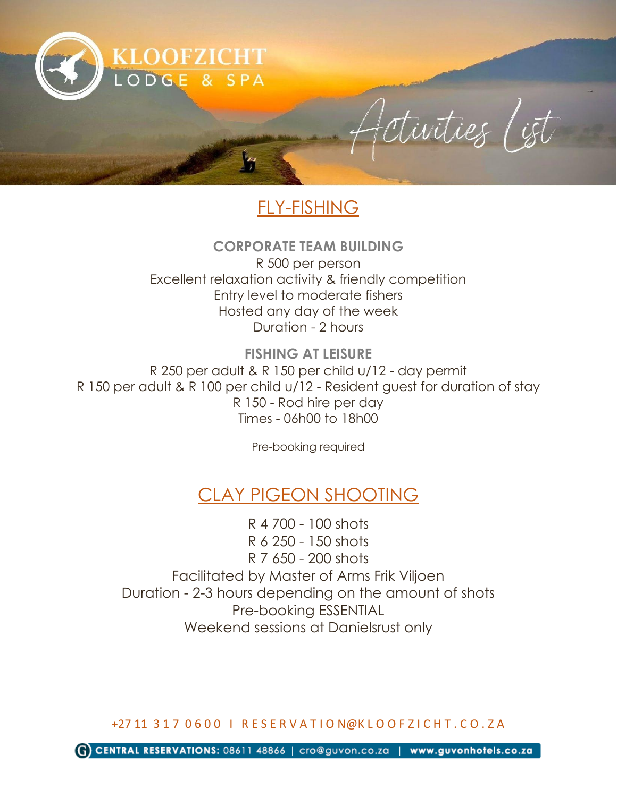

# FLY-FISHING

**CORPORATE TEAM BUILDING** R 500 per person Excellent relaxation activity & friendly competition Entry level to moderate fishers Hosted any day of the week Duration - 2 hours

**FISHING AT LEISURE**

R 250 per adult & R 150 per child u/12 - day permit R 150 per adult & R 100 per child u/12 - Resident guest for duration of stay R 150 - Rod hire per day Times - 06h00 to 18h00

Pre-booking required

# CLAY PIGEON SHOOTING

R 4 700 - 100 shots R 6 250 - 150 shots R 7 650 - 200 shots Facilitated by Master of Arms Frik Viljoen Duration - 2-3 hours depending on the amount of shots Pre-booking ESSENTIAL Weekend sessions at Danielsrust only

+27 11 3 1 7 0 6 0 0 I R E S E R V A T I O N@K L O O F Z I C H T . C O . Z A

G CENTRAL RESERVATIONS: 08611 48866 | cro@guvon.co.za | www.guvonhotels.co.za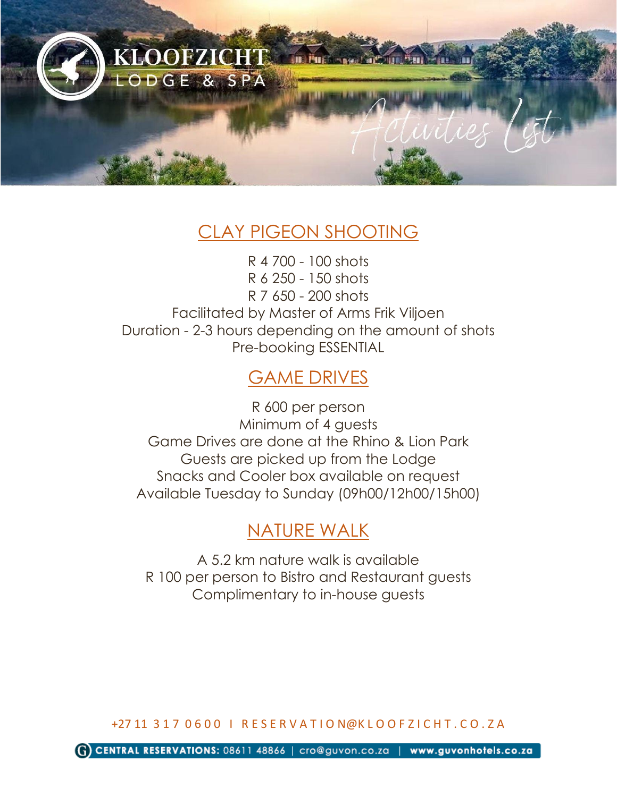

### CLAY PIGEON SHOOTING

R 4 700 - 100 shots R 6 250 - 150 shots R 7 650 - 200 shots Facilitated by Master of Arms Frik Viljoen Duration - 2-3 hours depending on the amount of shots Pre-booking ESSENTIAL

# **GAME DRIVES**

R 600 per person Minimum of 4 guests Game Drives are done at the Rhino & Lion Park Guests are picked up from the Lodge Snacks and Cooler box available on request Available Tuesday to Sunday (09h00/12h00/15h00)

### NATURE WALK

A 5.2 km nature walk is available R 100 per person to Bistro and Restaurant guests Complimentary to in-house guests

+27 11 3 1 7 0 6 0 0 I R E S E R V A T I O N@K L O O F Z I C H T . C O . Z A